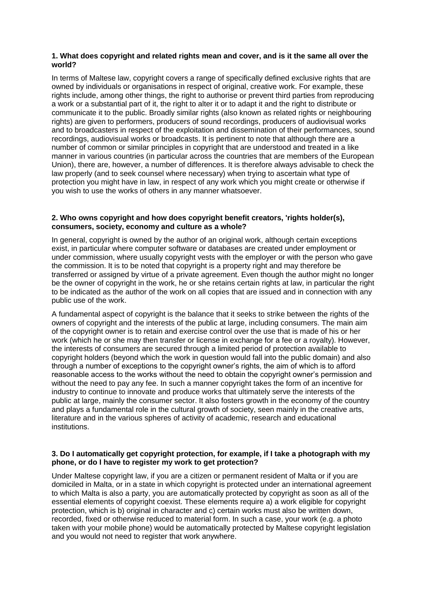### **1. What does copyright and related rights mean and cover, and is it the same all over the world?**

In terms of Maltese law, copyright covers a range of specifically defined exclusive rights that are owned by individuals or organisations in respect of original, creative work. For example, these rights include, among other things, the right to authorise or prevent third parties from reproducing a work or a substantial part of it, the right to alter it or to adapt it and the right to distribute or communicate it to the public. Broadly similar rights (also known as related rights or neighbouring rights) are given to performers, producers of sound recordings, producers of audiovisual works and to broadcasters in respect of the exploitation and dissemination of their performances, sound recordings, audiovisual works or broadcasts. It is pertinent to note that although there are a number of common or similar principles in copyright that are understood and treated in a like manner in various countries (in particular across the countries that are members of the European Union), there are, however, a number of differences. It is therefore always advisable to check the law properly (and to seek counsel where necessary) when trying to ascertain what type of protection you might have in law, in respect of any work which you might create or otherwise if you wish to use the works of others in any manner whatsoever.

### **2. Who owns copyright and how does copyright benefit creators, 'rights holder(s), consumers, society, economy and culture as a whole?**

In general, copyright is owned by the author of an original work, although certain exceptions exist, in particular where computer software or databases are created under employment or under commission, where usually copyright vests with the employer or with the person who gave the commission. It is to be noted that copyright is a property right and may therefore be transferred or assigned by virtue of a private agreement. Even though the author might no longer be the owner of copyright in the work, he or she retains certain rights at law, in particular the right to be indicated as the author of the work on all copies that are issued and in connection with any public use of the work.

A fundamental aspect of copyright is the balance that it seeks to strike between the rights of the owners of copyright and the interests of the public at large, including consumers. The main aim of the copyright owner is to retain and exercise control over the use that is made of his or her work (which he or she may then transfer or license in exchange for a fee or a royalty). However, the interests of consumers are secured through a limited period of protection available to copyright holders (beyond which the work in question would fall into the public domain) and also through a number of exceptions to the copyright owner's rights, the aim of which is to afford reasonable access to the works without the need to obtain the copyright owner's permission and without the need to pay any fee. In such a manner copyright takes the form of an incentive for industry to continue to innovate and produce works that ultimately serve the interests of the public at large, mainly the consumer sector. It also fosters growth in the economy of the country and plays a fundamental role in the cultural growth of society, seen mainly in the creative arts, literature and in the various spheres of activity of academic, research and educational institutions.

#### **3. Do I automatically get copyright protection, for example, if I take a photograph with my phone, or do I have to register my work to get protection?**

Under Maltese copyright law, if you are a citizen or permanent resident of Malta or if you are domiciled in Malta, or in a state in which copyright is protected under an international agreement to which Malta is also a party, you are automatically protected by copyright as soon as all of the essential elements of copyright coexist. These elements require a) a work eligible for copyright protection, which is b) original in character and c) certain works must also be written down, recorded, fixed or otherwise reduced to material form. In such a case, your work (e.g. a photo taken with your mobile phone) would be automatically protected by Maltese copyright legislation and you would not need to register that work anywhere.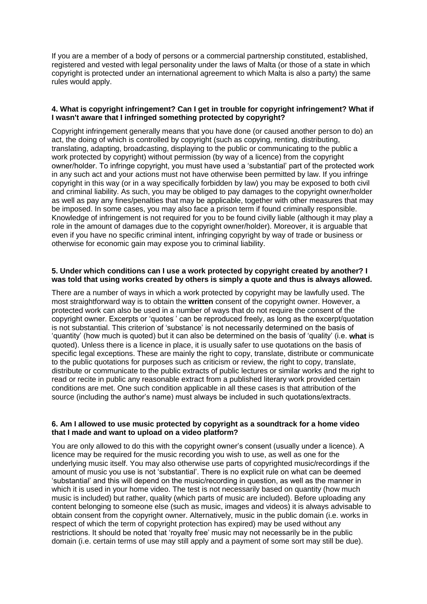If you are a member of a body of persons or a commercial partnership constituted, established, registered and vested with legal personality under the laws of Malta (or those of a state in which copyright is protected under an international agreement to which Malta is also a party) the same rules would apply.

### **4. What is copyright infringement? Can I get in trouble for copyright infringement? What if I wasn't aware that I infringed something protected by copyright?**

Copyright infringement generally means that you have done (or caused another person to do) an act, the doing of which is controlled by copyright (such as copying, renting, distributing, translating, adapting, broadcasting, displaying to the public or communicating to the public a work protected by copyright) without permission (by way of a licence) from the copyright owner/holder. To infringe copyright, you must have used a 'substantial' part of the protected work in any such act and your actions must not have otherwise been permitted by law. If you infringe copyright in this way (or in a way specifically forbidden by law) you may be exposed to both civil and criminal liability. As such, you may be obliged to pay damages to the copyright owner/holder as well as pay any fines/penalties that may be applicable, together with other measures that may be imposed. In some cases, you may also face a prison term if found criminally responsible. Knowledge of infringement is not required for you to be found civilly liable (although it may play a role in the amount of damages due to the copyright owner/holder). Moreover, it is arguable that even if you have no specific criminal intent, infringing copyright by way of trade or business or otherwise for economic gain may expose you to criminal liability.

### **5. Under which conditions can I use a work protected by copyright created by another? I was told that using works created by others is simply a quote and thus is always allowed.**

There are a number of ways in which a work protected by copyright may be lawfully used. The most straightforward way is to obtain the **written** consent of the copyright owner. However, a protected work can also be used in a number of ways that do not require the consent of the copyright owner. Excerpts or 'quotes' can be reproduced freely, as long as the excerpt/quotation is not substantial. This criterion of 'substance' is not necessarily determined on the basis of 'quantity' (how much is quoted) but it can also be determined on the basis of 'quality' (i.e. **what** is quoted). Unless there is a licence in place, it is usually safer to use quotations on the basis of specific legal exceptions. These are mainly the right to copy, translate, distribute or communicate to the public quotations for purposes such as criticism or review, the right to copy, translate, distribute or communicate to the public extracts of public lectures or similar works and the right to read or recite in public any reasonable extract from a published literary work provided certain conditions are met. One such condition applicable in all these cases is that attribution of the source (including the author's name) must always be included in such quotations/extracts.

### **6. Am I allowed to use music protected by copyright as a soundtrack for a home video that I made and want to upload on a video platform?**

You are only allowed to do this with the copyright owner's consent (usually under a licence). A licence may be required for the music recording you wish to use, as well as one for the underlying music itself. You may also otherwise use parts of copyrighted music/recordings if the amount of music you use is not 'substantial'. There is no explicit rule on what can be deemed 'substantial' and this will depend on the music/recording in question, as well as the manner in which it is used in your home video. The test is not necessarily based on quantity (how much music is included) but rather, quality (which parts of music are included). Before uploading any content belonging to someone else (such as music, images and videos) it is always advisable to obtain consent from the copyright owner. Alternatively, music in the public domain (i.e. works in respect of which the term of copyright protection has expired) may be used without any restrictions. It should be noted that 'royalty free' music may not necessarily be in the public domain (i.e. certain terms of use may still apply and a payment of some sort may still be due).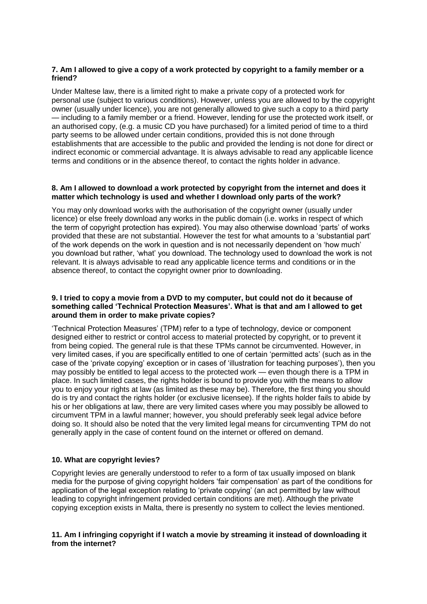## **7. Am I allowed to give a copy of a work protected by copyright to a family member or a friend?**

Under Maltese law, there is a limited right to make a private copy of a protected work for personal use (subject to various conditions). However, unless you are allowed to by the copyright owner (usually under licence), you are not generally allowed to give such a copy to a third party — including to a family member or a friend. However, lending for use the protected work itself, or an authorised copy, (e.g. a music CD you have purchased) for a limited period of time to a third party seems to be allowed under certain conditions, provided this is not done through establishments that are accessible to the public and provided the lending is not done for direct or indirect economic or commercial advantage. It is always advisable to read any applicable licence terms and conditions or in the absence thereof, to contact the rights holder in advance.

### **8. Am I allowed to download a work protected by copyright from the internet and does it matter which technology is used and whether I download only parts of the work?**

You may only download works with the authorisation of the copyright owner (usually under licence) or else freely download any works in the public domain (i.e. works in respect of which the term of copyright protection has expired). You may also otherwise download 'parts' of works provided that these are not substantial. However the test for what amounts to a 'substantial part' of the work depends on the work in question and is not necessarily dependent on 'how much' you download but rather, 'what' you download. The technology used to download the work is not relevant. It is always advisable to read any applicable licence terms and conditions or in the absence thereof, to contact the copyright owner prior to downloading.

### **9. I tried to copy a movie from a DVD to my computer, but could not do it because of something called 'Technical Protection Measures'. What is that and am I allowed to get around them in order to make private copies?**

'Technical Protection Measures' (TPM) refer to a type of technology, device or component designed either to restrict or control access to material protected by copyright, or to prevent it from being copied. The general rule is that these TPMs cannot be circumvented. However, in very limited cases, if you are specifically entitled to one of certain 'permitted acts' (such as in the case of the 'private copying' exception or in cases of 'illustration for teaching purposes'), then you may possibly be entitled to legal access to the protected work — even though there is a TPM in place. In such limited cases, the rights holder is bound to provide you with the means to allow you to enjoy your rights at law (as limited as these may be). Therefore, the first thing you should do is try and contact the rights holder (or exclusive licensee). If the rights holder fails to abide by his or her obligations at law, there are very limited cases where you may possibly be allowed to circumvent TPM in a lawful manner; however, you should preferably seek legal advice before doing so. It should also be noted that the very limited legal means for circumventing TPM do not generally apply in the case of content found on the internet or offered on demand.

# **10. What are copyright levies?**

Copyright levies are generally understood to refer to a form of tax usually imposed on blank media for the purpose of giving copyright holders 'fair compensation' as part of the conditions for application of the legal exception relating to 'private copying' (an act permitted by law without leading to copyright infringement provided certain conditions are met). Although the private copying exception exists in Malta, there is presently no system to collect the levies mentioned.

## **11. Am I infringing copyright if I watch a movie by streaming it instead of downloading it from the internet?**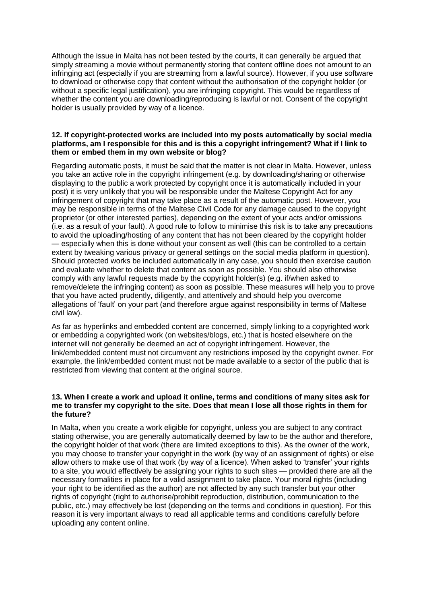Although the issue in Malta has not been tested by the courts, it can generally be argued that simply streaming a movie without permanently storing that content offline does not amount to an infringing act (especially if you are streaming from a lawful source). However, if you use software to download or otherwise copy that content without the authorisation of the copyright holder (or without a specific legal justification), you are infringing copyright. This would be regardless of whether the content you are downloading/reproducing is lawful or not. Consent of the copyright holder is usually provided by way of a licence.

### **12. If copyright-protected works are included into my posts automatically by social media platforms, am I responsible for this and is this a copyright infringement? What if I link to them or embed them in my own website or blog?**

Regarding automatic posts, it must be said that the matter is not clear in Malta. However, unless you take an active role in the copyright infringement (e.g. by downloading/sharing or otherwise displaying to the public a work protected by copyright once it is automatically included in your post) it is very unlikely that you will be responsible under the Maltese Copyright Act for any infringement of copyright that may take place as a result of the automatic post. However, you may be responsible in terms of the Maltese Civil Code for any damage caused to the copyright proprietor (or other interested parties), depending on the extent of your acts and/or omissions (i.e. as a result of your fault). A good rule to follow to minimise this risk is to take any precautions to avoid the uploading/hosting of any content that has not been cleared by the copyright holder — especially when this is done without your consent as well (this can be controlled to a certain extent by tweaking various privacy or general settings on the social media platform in question). Should protected works be included automatically in any case, you should then exercise caution and evaluate whether to delete that content as soon as possible. You should also otherwise comply with any lawful requests made by the copyright holder(s) (e.g. if/when asked to remove/delete the infringing content) as soon as possible. These measures will help you to prove that you have acted prudently, diligently, and attentively and should help you overcome allegations of 'fault' on your part (and therefore argue against responsibility in terms of Maltese civil law).

As far as hyperlinks and embedded content are concerned, simply linking to a copyrighted work or embedding a copyrighted work (on websites/blogs, etc.) that is hosted elsewhere on the internet will not generally be deemed an act of copyright infringement. However, the link/embedded content must not circumvent any restrictions imposed by the copyright owner. For example, the link/embedded content must not be made available to a sector of the public that is restricted from viewing that content at the original source.

### **13. When I create a work and upload it online, terms and conditions of many sites ask for me to transfer my copyright to the site. Does that mean I lose all those rights in them for the future?**

In Malta, when you create a work eligible for copyright, unless you are subject to any contract stating otherwise, you are generally automatically deemed by law to be the author and therefore, the copyright holder of that work (there are limited exceptions to this). As the owner of the work, you may choose to transfer your copyright in the work (by way of an assignment of rights) or else allow others to make use of that work (by way of a licence). When asked to 'transfer' your rights to a site, you would effectively be assigning your rights to such sites — provided there are all the necessary formalities in place for a valid assignment to take place. Your moral rights (including your right to be identified as the author) are not affected by any such transfer but your other rights of copyright (right to authorise/prohibit reproduction, distribution, communication to the public, etc.) may effectively be lost (depending on the terms and conditions in question). For this reason it is very important always to read all applicable terms and conditions carefully before uploading any content online.